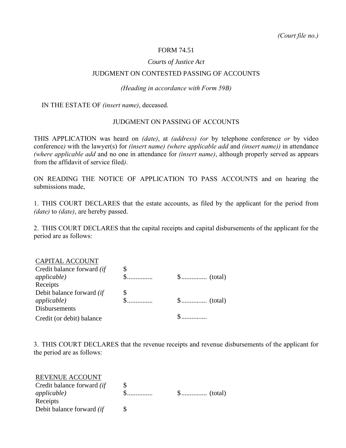## FORM 74.51

## *Courts of Justice Act*

### JUDGMENT ON CONTESTED PASSING OF ACCOUNTS

#### *(Heading in accordance with Form 59B)*

IN THE ESTATE OF *(insert name)*, deceased.

## JUDGMENT ON PASSING OF ACCOUNTS

THIS APPLICATION was heard on *(date)*, at *(address) (or* by telephone conference *or* by video conference*)* with the lawyer(s) for *(insert name) (where applicable add* and *(insert name))* in attendance *(where applicable add* and no one in attendance for *(insert name)*, although properly served as appears from the affidavit of service filed*)*.

ON READING THE NOTICE OF APPLICATION TO PASS ACCOUNTS and on hearing the submissions made,

1. THIS COURT DECLARES that the estate accounts, as filed by the applicant for the period from *(date)* to *(date)*, are hereby passed.

2. THIS COURT DECLARES that the capital receipts and capital disbursements of the applicant for the period are as follows:

# CAPITAL ACCOUNT

| Credit balance forward <i>(if</i> |  |
|-----------------------------------|--|
| <i>applicable</i> )               |  |
| Receipts                          |  |
| Debit balance forward <i>(if</i>  |  |
| <i>applicable</i> )               |  |
| <b>Disbursements</b>              |  |
| Credit (or debit) balance         |  |

3. THIS COURT DECLARES that the revenue receipts and revenue disbursements of the applicant for the period are as follows:

| REVENUE ACCOUNT                   |  |
|-----------------------------------|--|
| Credit balance forward <i>(if</i> |  |
| <i>applicable</i> )               |  |
| Receipts                          |  |
| Debit balance forward <i>(if</i>  |  |